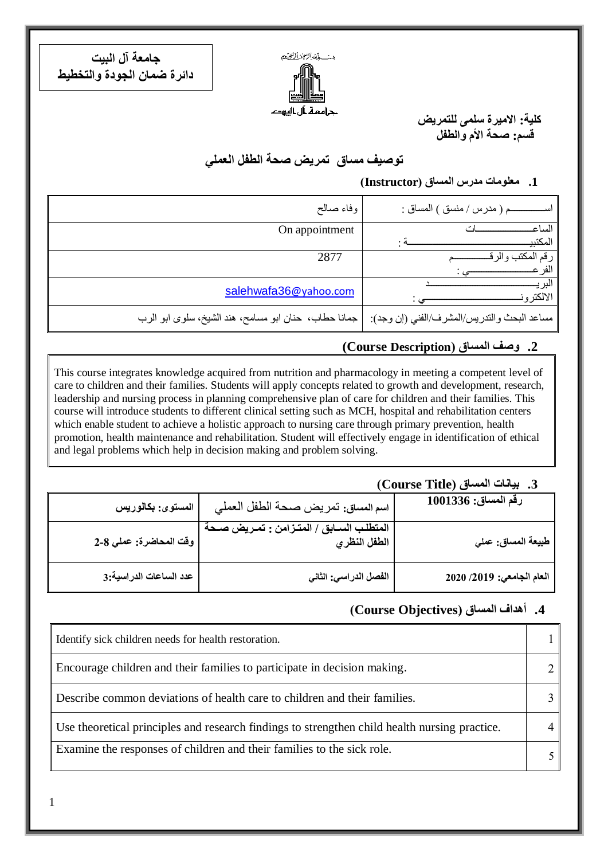مت كمشرائع زائصه جرامعة أل اليهد

**جامعة آل البيت دائرة ضمان الجودة والتخطيط**

1

**كلية: االميرة سلمى للتمريض قسم: صحة األم والطفل** 

**توصيف مساق تمريض صحة الطفل العملي**

**.1 معلومات مدرس المساق )Instructor)**

| وفاء صالح                                            | ـم ( مدرس / منسق ) المساق :                 |
|------------------------------------------------------|---------------------------------------------|
| On appointment                                       | الساع                                       |
|                                                      | المكتند                                     |
| 2877                                                 | رقم المكتب ه                                |
|                                                      |                                             |
| salehwafa36@yahoo.com                                | الالكتر و                                   |
| جمانا حطاب، حنان ابو مسامح، هند الشيخ، سلوى ابو الرب | مساعد البحث والندريس/المشرف/الفني (إن وجد): |

#### **.2 وصف المساق )Description Course(**

This course integrates knowledge acquired from nutrition and pharmacology in meeting a competent level of care to children and their families. Students will apply concepts related to growth and development, research, leadership and nursing process in planning comprehensive plan of care for children and their families. This course will introduce students to different clinical setting such as MCH, hospital and rehabilitation centers which enable student to achieve a holistic approach to nursing care through primary prevention, health promotion, health maintenance and rehabilitation. Student will effectively engage in identification of ethical and legal problems which help in decision making and problem solving.

#### **.3 بيانات المساق )Title Course)**

| $1001336$ رقم المساق:        | اسم المساق: تمريض صحة الطفل العملي                            | المستوى: بكالوريس      |
|------------------------------|---------------------------------------------------------------|------------------------|
| ٍ طبيعة المساق: ع <i>ملي</i> | المتطلب الســابق / المتــزامن : تمــريض صــحة<br>الطفل النظري | وقت المحاضرة: عملي 8-2 |
| العام الجامعي: 2019/ 2020    | الفصل الدراسي: الثاني                                         | عدد الساعات الدراسية:3 |

## **.4 أهداف المساق )ِObjectives Course)**

| Identify sick children needs for health restoration.                                          |  |
|-----------------------------------------------------------------------------------------------|--|
| Encourage children and their families to participate in decision making.                      |  |
| Describe common deviations of health care to children and their families.                     |  |
| Use theoretical principles and research findings to strengthen child health nursing practice. |  |
| Examine the responses of children and their families to the sick role.                        |  |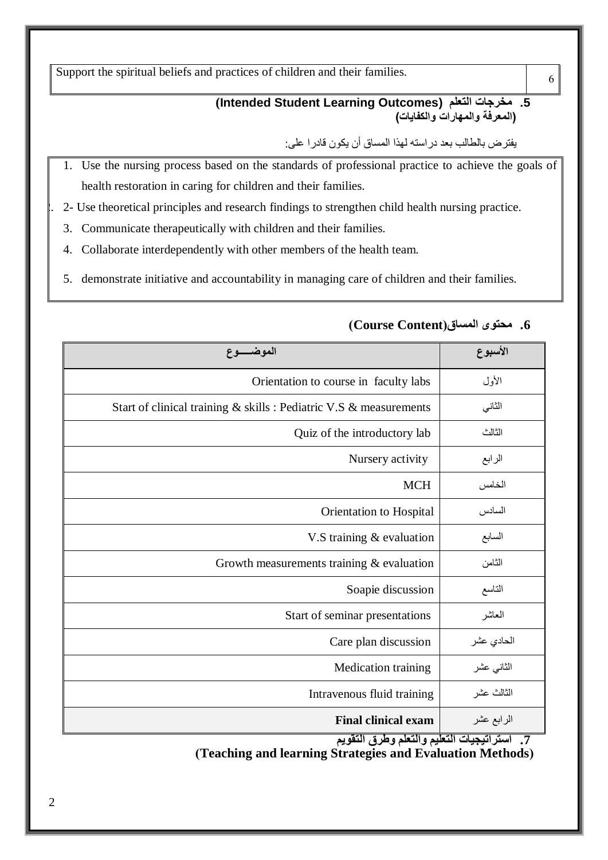Support the spiritual beliefs and practices of children and their families.

#### **(Intended Student Learning Outcomes) التعلم مخرجات .5 )المعرفة والمهارات والكفايات(**

يفترض بالطالب بعد دراسته لهذا المساق أن يكون قادرا على:

- 1. Use the nursing process based on the standards of professional practice to achieve the goals of health restoration in caring for children and their families.
- 2. 2- Use theoretical principles and research findings to strengthen child health nursing practice.
- 3. Communicate therapeutically with children and their families.
- 4. Collaborate interdependently with other members of the health team.
- 5. demonstrate initiative and accountability in managing care of children and their families.

| الموضــــوع                                                        | الأسبوع                      |
|--------------------------------------------------------------------|------------------------------|
| Orientation to course in faculty labs                              | الأول                        |
| Start of clinical training & skills : Pediatric V.S & measurements | الثاني                       |
| Quiz of the introductory lab                                       | الثالث                       |
| Nursery activity                                                   | الرابع                       |
| <b>MCH</b>                                                         | الخامس                       |
| Orientation to Hospital                                            | السادس                       |
| V.S training $&$ evaluation                                        | السابع                       |
| Growth measurements training $&$ evaluation                        | الثامن                       |
| Soapie discussion                                                  | التاسع                       |
| Start of seminar presentations                                     | العاشر                       |
| Care plan discussion                                               | الحادي عشر                   |
| <b>Medication training</b>                                         | الثاني عشر                   |
| Intravenous fluid training                                         | الثالث عشر                   |
| <b>Final clinical exam</b><br>$2.41 \times 10^{-4}$                | الرابع عشر<br>1.41.41<br>. . |

## **.6 محتوى المساق)Content Course)**

6

**.7 استراتيجيات التعليم والتعلم وطرق التقويم**

**)Teaching and learning Strategies and Evaluation Methods(**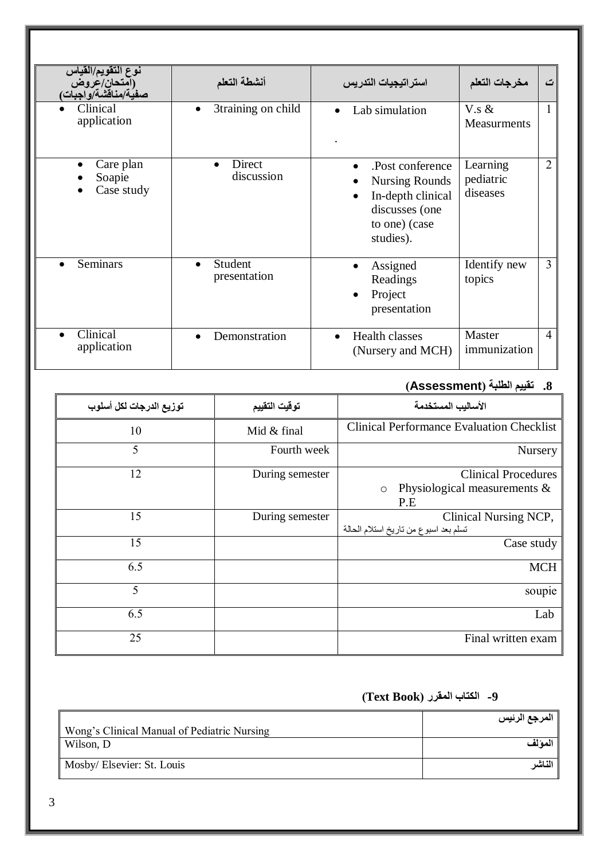| نوع التقويم/القياس<br>(آمتحان/عُروض<br>صفية/مناقشة/واجبات) | أنشطة التعلم                    | استراتيجيات التدريس                                                                                            | مخرجات التعلم                     | ت              |
|------------------------------------------------------------|---------------------------------|----------------------------------------------------------------------------------------------------------------|-----------------------------------|----------------|
| Clinical<br>application                                    | 3training on child<br>$\bullet$ | Lab simulation<br>$\bullet$                                                                                    | $V$ .s &<br><b>Measurments</b>    | 1              |
| Care plan<br>Soapie<br>Case study                          | Direct<br>discussion            | Post conference.<br><b>Nursing Rounds</b><br>In-depth clinical<br>discusses (one<br>to one) (case<br>studies). | Learning<br>pediatric<br>diseases | $\overline{2}$ |
| <b>Seminars</b>                                            | Student<br>presentation         | Assigned<br>Readings<br>Project<br>presentation                                                                | Identify new<br>topics            | 3              |
| Clinical<br>application                                    | Demonstration<br>$\bullet$      | <b>Health classes</b><br>$\bullet$<br>(Nursery and MCH)                                                        | Master<br>immunization            | $\overline{4}$ |

# **.8 تقييم الطلبة )Assessment)**

| توزيع الدرجات لكل أسلوب | توقيت التقييم   | الأساليب المستخدمة                                                              |
|-------------------------|-----------------|---------------------------------------------------------------------------------|
| 10                      | Mid & final     | <b>Clinical Performance Evaluation Checklist</b>                                |
| 5                       | Fourth week     | Nursery                                                                         |
| 12                      | During semester | <b>Clinical Procedures</b><br>Physiological measurements $\&$<br>$\circ$<br>P.E |
| 15                      | During semester | Clinical Nursing NCP,<br>تسلم بعد اسبوع من تاريخ استلام الحالة                  |
| 15                      |                 | Case study                                                                      |
| 6.5                     |                 | <b>MCH</b>                                                                      |
| 5                       |                 | soupie                                                                          |
| 6.5                     |                 | Lab                                                                             |
| 25                      |                 | Final written exam                                                              |

# **-9 الكتاب المقرر )Book Text)**

|                                             | المرجع الرئيس |
|---------------------------------------------|---------------|
| Wong's Clinical Manual of Pediatric Nursing |               |
| Wilson, D                                   | المو لف       |
| Mosby/Elsevier: St. Louis                   | الناشر        |